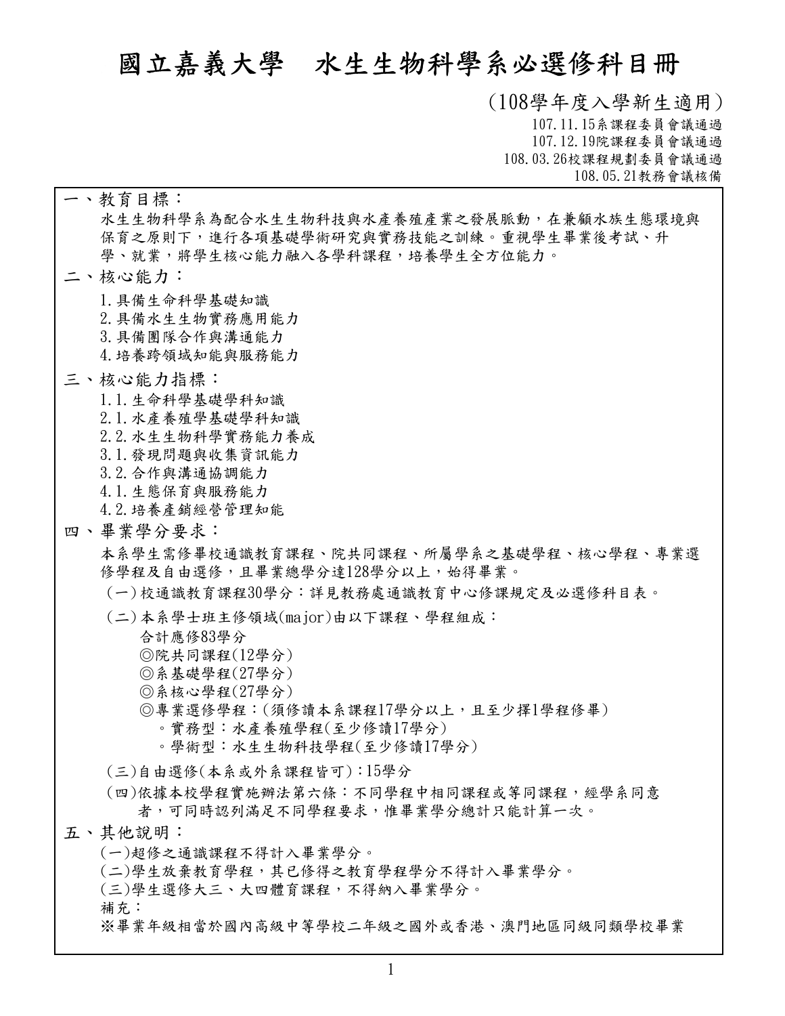# **國立嘉義大學 水生生物科學系必選修科目冊**

**(108學年度入學新生適用) 107.11.15系課程委員會議通過 107.12.19院課程委員會議通過 108.03.26校課程規劃委員會議通過 108.05.21教務會議核備**

**水生生物科學系為配合水生生物科技與水產養殖產業之發展脈動,在兼顧水族生態環境與 保育之原則下,進行各項基礎學術研究與實務技能之訓練。重視學生畢業後考試、升 學、就業,將學生核心能力融入各學科課程,培養學生全方位能力。 一、教育目標: 1.具備生命科學基礎知識 2.具備水生生物實務應用能力 3.具備團隊合作與溝通能力 4.培養跨領域知能與服務能力 二、核心能力: 1.1.生命科學基礎學科知識 2.1.水產養殖學基礎學科知識 2.2.水生生物科學實務能力養成 3.1.發現問題與收集資訊能力 3.2.合作與溝通協調能力 4.1.生態保育與服務能力 4.2.培養產銷經營管理知能 三、核心能力指標: 本系學生需修畢校通識教育課程、院共同課程、所屬學系之基礎學程、核心學程、專業選** 四、畢業學分要求:<br>本系學生需修畢校通識教育課程、院共同課程、所屬學系之基礎學程、核心學程、專業選<br>修學程及自由選修,且畢業總學分達128學分以上,始得畢業。 **(一)校通識教育課程30學分:詳見教務處通識教育中心修課規定及必選修科目表。 合計應修83學分 ◎院共同課程(12學分) ◎系基礎學程(27 ) ◎系核心學程(27 ) ◎專業選修學程:(須修讀本系課程17學分以上,且至少擇1學程修畢) 。實務型:水產養殖學程(至少修讀17學分) 。學術型:水生生物科技學程(至少修讀17學分) (二)本系學士班主修領域(major)由以下課程、學程組成: (三)自由選修(本系或外系課程皆可):15學分 依據本校學程實施辦法第六條:不同學程中相同課程或等同課程,經學系同意 者,可同時認列滿足不同學程要求,惟畢業學分總計只能計算一次。 (四) (一)超修之通識課程不得計入畢業學分。 (二)學生放棄教育學程,其已修得之教育學程學分不得計入畢業學分。 (三)學生選修大三、大四體育課程,不得納入畢業學分。 補充: ※畢業年級相當於國內高級中等學校二年級之國外或香港、澳門地區同級同類學校畢業 五、其他說明:**

**1**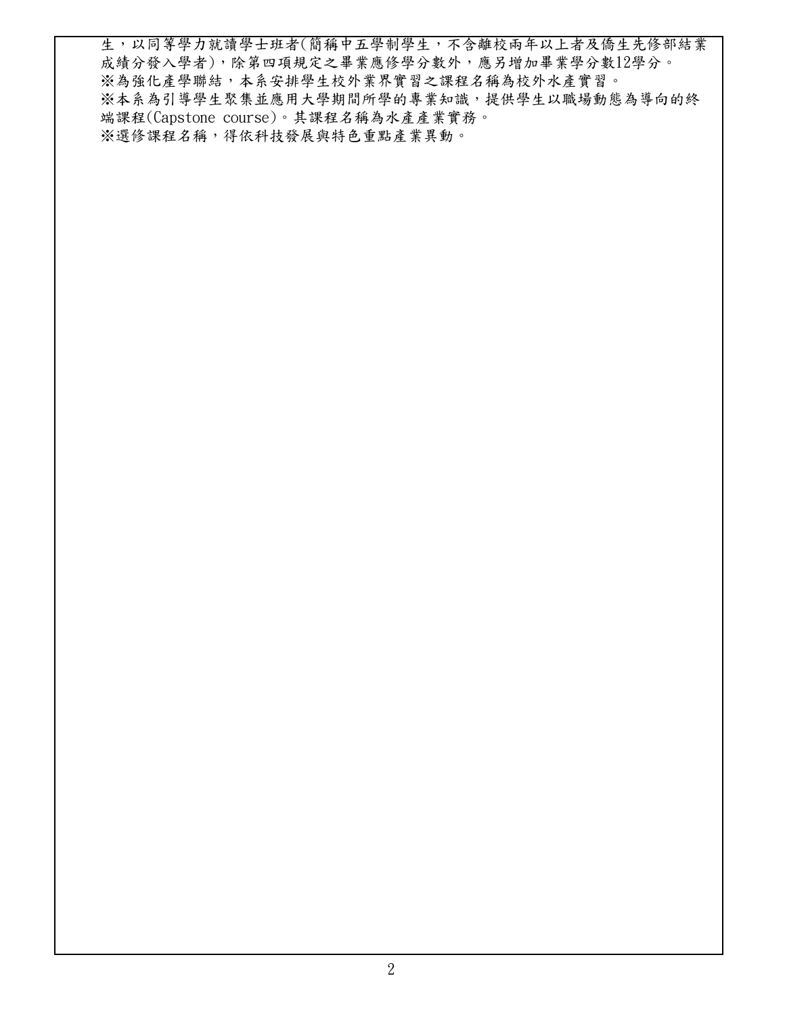**生,以同等學力就讀學士班者(簡稱中五學制學生,不含離校兩年以上者及僑生先修部結業 成績分發入學者),除第四項規定之畢業應修學分數外,應另增加畢業學分數12學分。 ※為強化產學聯結,本系安排學生校外業界實習之課程名稱為校外水產實習。 ※本系為引導學生聚集並應用大學期間所學的專業知識,提供學生以職場動態為導向的終 端課程(Capstone course)。其課程名稱為水產產業實務。 ※選修課程名稱,得依科技發展與特色重點產業異動。**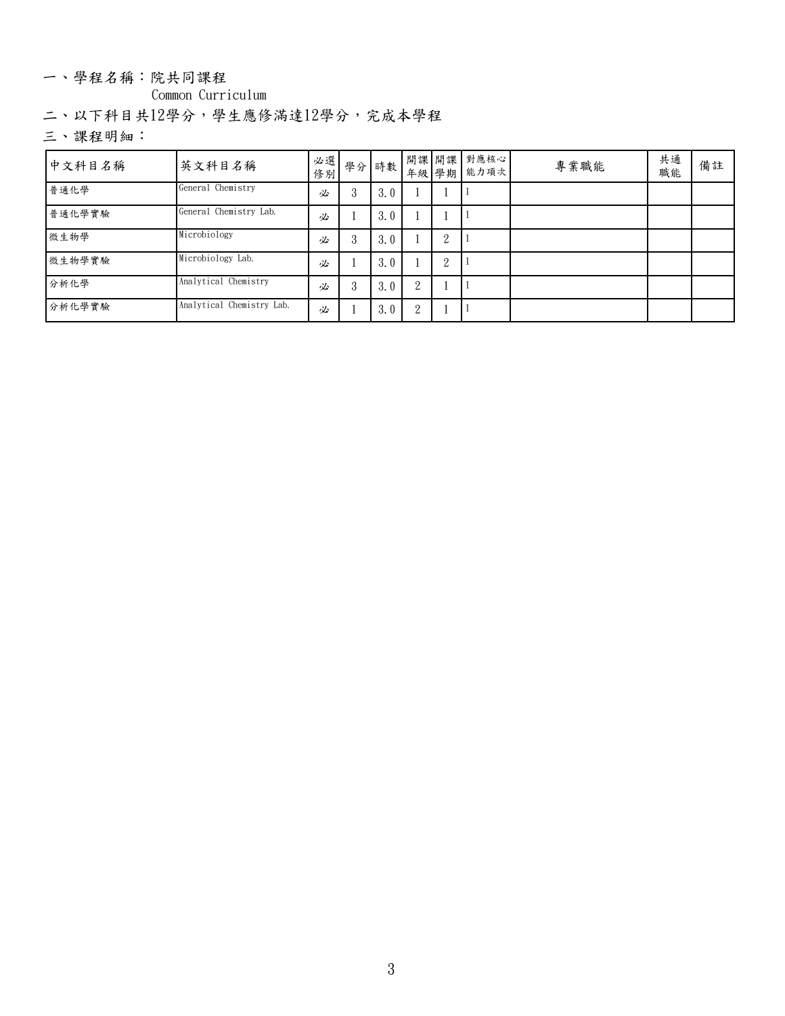### 一、學程名稱:院共同課程

**Common Curriculum**

**二、以下科目共12學分,學生應修滿達12學分,完成本學程**

| 中文科目名稱 | 英文科目名稱                    |   | 必選  學分  時數 <br> 修別  學分  時數 |     |   |   | 開課 開課 對應核心 <br>年級 學期 能力項次 | 專業職能 | 共通<br>職能 | 備註 |  |
|--------|---------------------------|---|----------------------------|-----|---|---|---------------------------|------|----------|----|--|
| 普通化學   | General Chemistry         | 必 | 3                          | 3.0 |   |   |                           |      |          |    |  |
| 普通化學實驗 | General Chemistry Lab.    | 必 |                            | 3.0 |   |   |                           |      |          |    |  |
| 微生物學   | Microbiology              | 必 | 3                          | 3.0 |   | ∠ |                           |      |          |    |  |
| 微生物學實驗 | Microbiology Lab.         | 必 |                            | 3.0 |   | ∠ |                           |      |          |    |  |
| 分析化學   | Analytical Chemistry      | 必 | 3                          | 3.0 | 2 |   |                           |      |          |    |  |
| 分析化學實驗 | Analytical Chemistry Lab. | 必 |                            | 3.0 | 2 |   |                           |      |          |    |  |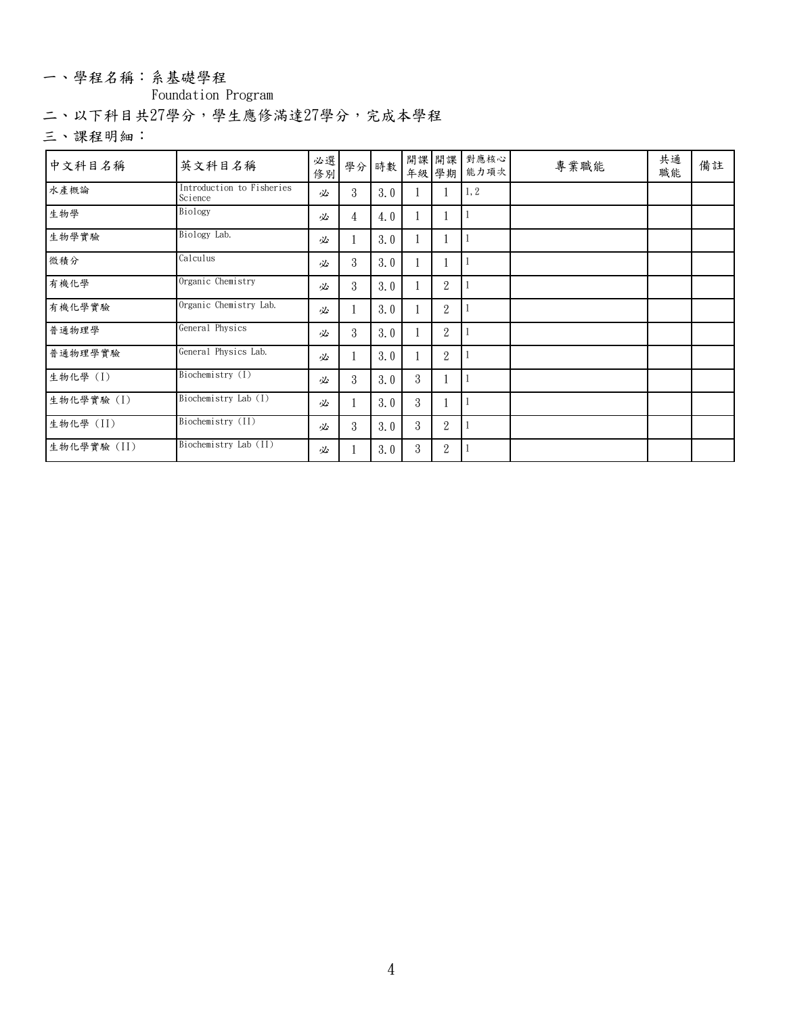### 一、學程名稱:系基礎學程

**Foundation Program**

**二、以下科目共27學分,學生應修滿達27學分,完成本學程**

| 中文科目名稱      | 英文科目名稱                               | 修別 | 必選   學分   時數   ' |     |   |                  | 開課 開課 對應核心<br>年級 學期 能力項次 | 專業職能 | 共通<br>職能 | 備註 |
|-------------|--------------------------------------|----|------------------|-----|---|------------------|--------------------------|------|----------|----|
| 水產概論        | Introduction to Fisheries<br>Science | 必  | 3                | 3.0 |   |                  | 1, 2                     |      |          |    |
| 生物學         | Biology                              | 必  | 4                | 4.0 |   |                  |                          |      |          |    |
| 生物學實驗       | Biology Lab.                         | 必  |                  | 3.0 |   |                  |                          |      |          |    |
| 微積分         | Calculus                             | 必  | 3                | 3.0 |   |                  |                          |      |          |    |
| 有機化學        | Organic Chemistry                    | 必  | 3                | 3.0 |   | $\overline{2}$   |                          |      |          |    |
| 有機化學實驗      | Organic Chemistry Lab.               | 必  |                  | 3.0 |   | $\mathbf{2}$     |                          |      |          |    |
| 普通物理學       | General Physics                      | 必  | 3                | 3.0 |   | $\boldsymbol{2}$ |                          |      |          |    |
| 普通物理學實驗     | General Physics Lab.                 | 必  |                  | 3.0 |   | $\overline{2}$   |                          |      |          |    |
| 生物化學 (I)    | Biochemistry (I)                     | 必  | 3                | 3.0 | 3 |                  |                          |      |          |    |
| 生物化學實驗(I)   | Biochemistry Lab (I)                 | 必  |                  | 3.0 | 3 |                  |                          |      |          |    |
| 生物化學(II)    | Biochemistry (II)                    | 必  | 3                | 3.0 | 3 | $\overline{2}$   |                          |      |          |    |
| 生物化學實驗 (II) | Biochemistry Lab (II)                | 必  |                  | 3.0 | 3 | $\mathbf{2}$     |                          |      |          |    |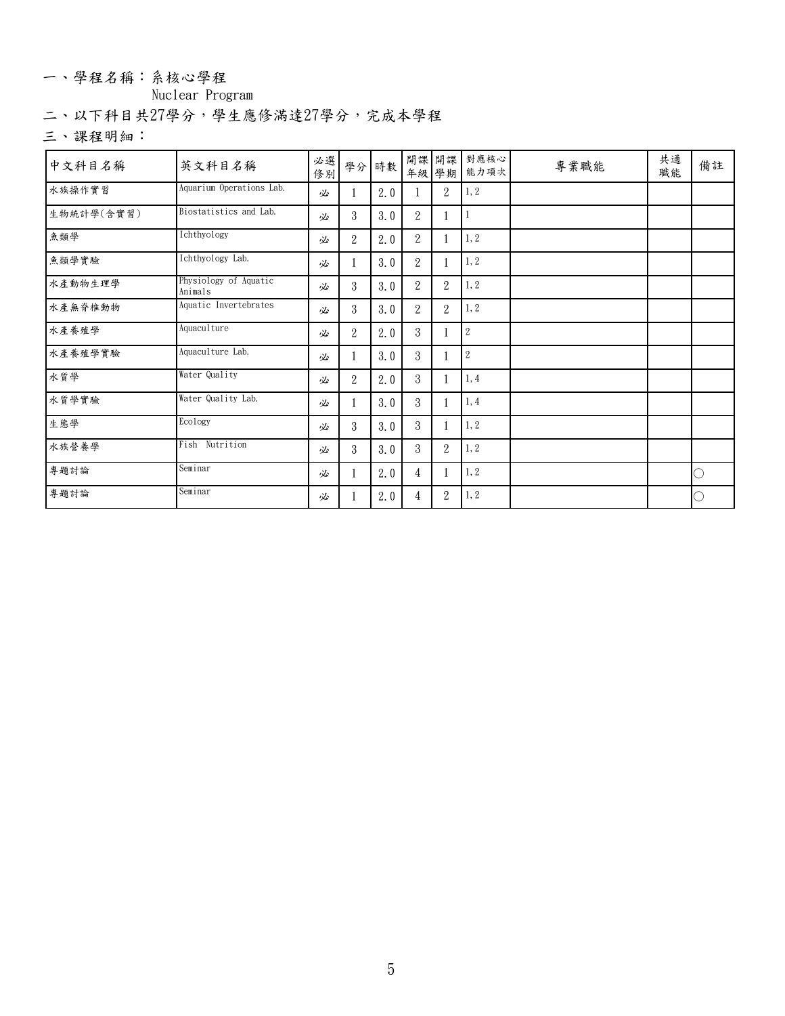### 一、學程名稱:系核心學程

## **Nuclear Program**

**二、以下科目共27學分,學生應修滿達27學分,完成本學程**

| 中文科目名稱     | 英文科目名稱                           | 必選<br>修別 |   | 學分 時數 |                |                  | 開課 開課 對應核心<br>年級 學期 能力項次 | 專業職能 | 共通<br>職能 | 備註 |
|------------|----------------------------------|----------|---|-------|----------------|------------------|--------------------------|------|----------|----|
| 水族操作實習     | Aquarium Operations Lab.         | 必        |   | 2.0   |                | 2                | 1, 2                     |      |          |    |
| 生物統計學(含實習) | Biostatistics and Lab.           | 必        | 3 | 3.0   | 2              |                  |                          |      |          |    |
| 魚類學        | Ichthyology                      | 必        | 2 | 2.0   | $\overline{2}$ |                  | 1, 2                     |      |          |    |
| 魚類學實驗      | Ichthyology Lab.                 | 必        |   | 3.0   | 2              |                  | 1, 2                     |      |          |    |
| 水產動物生理學    | Physiology of Aquatic<br>Animals | 必        | 3 | 3.0   | 2              | $\overline{2}$   | 1, 2                     |      |          |    |
| 水產無脊椎動物    | Aquatic Invertebrates            | 必        | 3 | 3.0   | 2              | $\overline{2}$   | 1, 2                     |      |          |    |
| 水產養殖學      | Aquaculture                      | 必        | 2 | 2.0   | 3              |                  | $\sqrt{2}$               |      |          |    |
| 水產養殖學實驗    | Aquaculture Lab.                 | 必        |   | 3.0   | 3              |                  | $\sqrt{2}$               |      |          |    |
| 水質學        | Water Quality                    | 必        | 2 | 2.0   | $\mathbf{3}$   |                  | 1,4                      |      |          |    |
| 水质学实验      | Water Quality Lab.               | 必        |   | 3.0   | 3              |                  | 1,4                      |      |          |    |
| 生態學        | Ecology                          | 必        | 3 | 3.0   | $\mathbf{3}$   |                  | 1, 2                     |      |          |    |
| 水族營養學      | Fish Nutrition                   | 必        | 3 | 3.0   | 3              | $\overline{2}$   | 1, 2                     |      |          |    |
| 專題討論       | Seminar                          | 必        |   | 2.0   | 4              |                  | 1, 2                     |      |          | O  |
| 專題討論       | Seminar                          | 必        |   | 2.0   | 4              | $\boldsymbol{2}$ | 1, 2                     |      |          |    |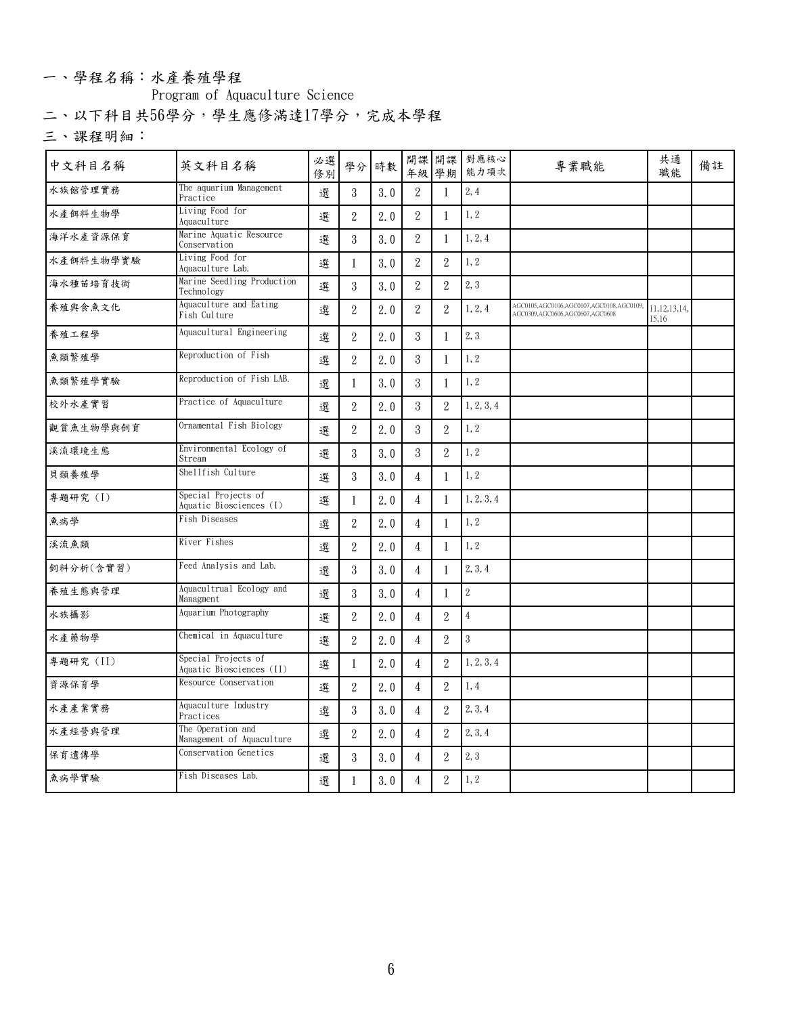### 一、學程名稱:水產養殖學程

**Program of Aquaculture Science**

**二、以下科目共56學分,學生應修滿達17學分,完成本學程**

| 中文科目名稱    | 英文科目名稱                                          | 必選<br>修別 |                  | 學分 時數 |                |                  | 開課 開課 對應核心<br>年級 學期 能力項次 | 專業職能                                                                       | 共通<br>職能                 | 備註 |
|-----------|-------------------------------------------------|----------|------------------|-------|----------------|------------------|--------------------------|----------------------------------------------------------------------------|--------------------------|----|
| 水族館管理實務   | The aquarium Management<br>Practice             | 選        | $\mathbf{3}$     | 3.0   | $\mathbf{2}$   | -1               | 2, 4                     |                                                                            |                          |    |
| 水產餌料生物學   | Living Food for<br>Aquaculture                  | 選        | $\boldsymbol{2}$ | 2.0   | $\,2$          | -1               | 1, 2                     |                                                                            |                          |    |
| 海洋水產資源保育  | Marine Aquatic Resource<br>Conservation         | 選        | $\mathbf{3}$     | 3.0   | $\overline{2}$ | -1               | 1, 2, 4                  |                                                                            |                          |    |
| 水產餌料生物學實驗 | Living Food for<br>Aquaculture Lab.             | 選        |                  | 3.0   | $\mathbf{2}$   | $\overline{2}$   | 1, 2                     |                                                                            |                          |    |
| 海水種苗培育技術  | Marine Seedling Production<br>Technology        | 選        | $\mathbf{3}$     | 3.0   | $\sqrt{2}$     | $\sqrt{2}$       | 2,3                      |                                                                            |                          |    |
| 養殖與食魚文化   | Aquaculture and Eating<br>Fish Culture          | 選        | $\overline{2}$   | 2.0   | $\overline{2}$ | $\overline{2}$   | 1, 2, 4                  | AGC0105,AGC0106,AGC0107,AGC0108,AGC0109<br>AGC0309,AGC0606,AGC0607,AGC0608 | 11, 12, 13, 14,<br>15.16 |    |
| 養殖工程學     | Aquacultural Engineering                        | 選        | $\overline{2}$   | 2.0   | $\mathbf{3}$   | $\overline{1}$   | 2, 3                     |                                                                            |                          |    |
| 魚類繁殖學     | Reproduction of Fish                            | 選        | $\boldsymbol{2}$ | 2.0   | 3              | -1               | 1, 2                     |                                                                            |                          |    |
| 魚類繁殖學實驗   | Reproduction of Fish LAB.                       | 選        |                  | 3.0   | $\mathbf{3}$   | $\mathbf{1}$     | 1, 2                     |                                                                            |                          |    |
| 校外水產實習    | Practice of Aquaculture                         | 選        | $\sqrt{2}$       | 2.0   | 3              | $\overline{2}$   | 1, 2, 3, 4               |                                                                            |                          |    |
| 觀賞魚生物學與飼育 | Ornamental Fish Biology                         | 選        | $\overline{2}$   | 2.0   | 3              | $\overline{2}$   | 1, 2                     |                                                                            |                          |    |
| 溪流環境生態    | Environmental Ecology of<br>Stream              | 選        | 3                | 3.0   | $\mathbf{3}$   | $\sqrt{2}$       | 1, 2                     |                                                                            |                          |    |
| 貝類養殖學     | Shellfish Culture                               | 選        | $\mathbf{3}$     | 3.0   | 4              | -1               | $\vert 1, 2 \vert$       |                                                                            |                          |    |
| 專題研究 (I)  | Special Projects of<br>Aquatic Biosciences (I)  | 選        |                  | 2.0   | $\overline{4}$ | -1               | 1, 2, 3, 4               |                                                                            |                          |    |
| 魚病學       | Fish Diseases                                   | 選        | $\sqrt{2}$       | 2.0   | $\overline{4}$ | $\mathbf{1}$     | 1, 2                     |                                                                            |                          |    |
| 溪流魚類      | River Fishes                                    | 選        | $\overline{2}$   | 2.0   | 4              | -1               | 1, 2                     |                                                                            |                          |    |
| 飼料分析(含實習) | Feed Analysis and Lab.                          | 選        | $\mathbf{3}$     | 3.0   | $\overline{4}$ | $\overline{1}$   | 2, 3, 4                  |                                                                            |                          |    |
| 養殖生態與管理   | Aquacultrual Ecology and<br>Managment           | 選        | $\mathbf{3}$     | 3.0   | $\overline{4}$ | -1               | $\,2$                    |                                                                            |                          |    |
| 水族攝影      | Aquarium Photography                            | 選        | $\boldsymbol{2}$ | 2.0   | $\overline{4}$ | $\boldsymbol{2}$ | $\sqrt{4}$               |                                                                            |                          |    |
| 水產藥物學     | Chemical in Aquaculture                         | 選        | $\boldsymbol{2}$ | 2.0   | 4              | $\overline{2}$   | 3                        |                                                                            |                          |    |
| 專題研究 (II) | Special Projects of<br>Aquatic Biosciences (II) | 選        |                  | 2.0   | $\overline{4}$ | $\boldsymbol{2}$ | 1, 2, 3, 4               |                                                                            |                          |    |
| 資源保育學     | Resource Conservation                           | 選        | $\sqrt{2}$       | 2.0   | 4              | $\overline{2}$   | 1,4                      |                                                                            |                          |    |
| 水產產業實務    | Aquaculture Industry<br>Practices               | 選        | $\mathbf{3}$     | 3.0   | $\overline{4}$ | $\overline{2}$   | 2, 3, 4                  |                                                                            |                          |    |
| 水產經營與管理   | The Operation and<br>Management of Aquaculture  | 選        | $\overline{2}$   | 2.0   | 4              | $\overline{2}$   | 2, 3, 4                  |                                                                            |                          |    |
| 保育遺傳學     | Conservation Genetics                           | 選        | $\mathbf{3}$     | 3.0   | $\overline{4}$ | $\boldsymbol{2}$ | 2,3                      |                                                                            |                          |    |
| 魚病學實驗     | Fish Diseases Lab.                              | 選        |                  | 3.0   | $\overline{4}$ | $\sqrt{2}$       | 1, 2                     |                                                                            |                          |    |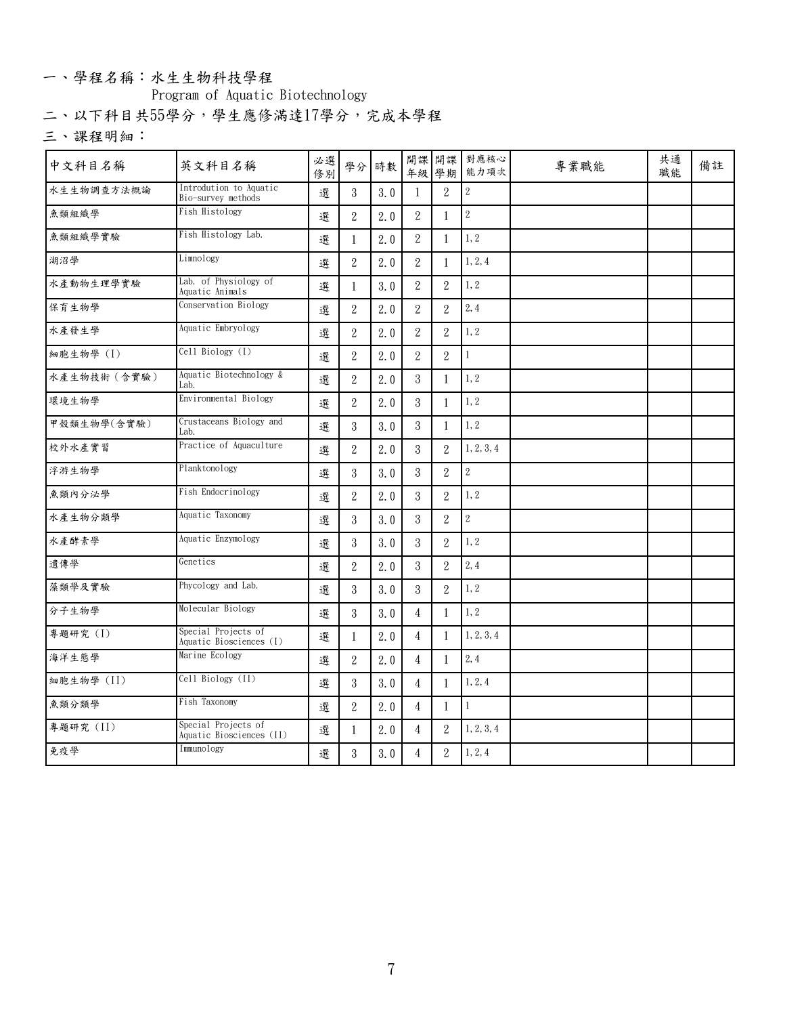### 一、學程名稱:水生生物科技學程

**Program of Aquatic Biotechnology**

**二、以下科目共55學分,學生應修滿達17學分,完成本學程**

| 中文科目名稱       | 英文科目名稱                                          | 必選<br>修別 |                | 學分 時數 |                  |                  | 開課 開課 對應核心<br>年級 學期 能力項次 | 專業職能 | 共通<br>職能 | 備註 |
|--------------|-------------------------------------------------|----------|----------------|-------|------------------|------------------|--------------------------|------|----------|----|
| 水生生物調查方法概論   | Introdution to Aquatic<br>Bio-survey methods    | 選        | $\mathbf{3}$   | 3.0   | $\mathbf{1}$     | $\overline{2}$   | 2                        |      |          |    |
| 魚類組織學        | Fish Histology                                  | 選        | $\,2$          | 2.0   | $\,2$            |                  | $\sqrt{2}$               |      |          |    |
| 魚類組織學實驗      | Fish Histology Lab.                             | 選        | $\mathbf{1}$   | 2.0   | $\overline{2}$   | -1               | 1,2                      |      |          |    |
| 湖沼學          | $\overline{\text{Limn}}$ ology                  | 選        | $\overline{2}$ | 2.0   | $\overline{2}$   |                  | 1, 2, 4                  |      |          |    |
| 水產動物生理學實驗    | Lab. of Physiology of<br>Aquatic Animals        | 選        | -1             | 3.0   | $\overline{2}$   | $\overline{2}$   | 1, 2                     |      |          |    |
| 保育生物學        | Conservation Biology                            | 選        | $\overline{2}$ | 2.0   | $\overline{2}$   | $\overline{2}$   | 2, 4                     |      |          |    |
| 水產發生學        | Aquatic Embryology                              | 選        | $\overline{2}$ | 2.0   | $\overline{2}$   | $\overline{2}$   | 1, 2                     |      |          |    |
| 細胞生物學 (I)    | Cell Biology (I)                                | 選        | $\overline{2}$ | 2.0   | $\boldsymbol{2}$ | $\overline{2}$   | $\mathbf{1}$             |      |          |    |
| 水產生物技術 (含實驗) | Aquatic Biotechnology &<br>Lab.                 | 選        | $\overline{2}$ | 2.0   | $\mathbf{3}$     |                  | 1, 2                     |      |          |    |
| 環境生物學        | Environmental Biology                           | 選        | $\overline{2}$ | 2.0   | $\mathbf{3}$     | -1               | 1,2                      |      |          |    |
| 甲殼類生物學(含實驗)  | Crustaceans Biology and<br>Lab.                 | 選        | $\mathbf{3}$   | 3.0   | $\mathbf{3}$     |                  | 1, 2                     |      |          |    |
| 校外水產實習       | Practice of Aquaculture                         | 選        | $\overline{2}$ | 2.0   | 3                | $\mathbf{2}$     | 1, 2, 3, 4               |      |          |    |
| 浮游生物學        | Planktonology                                   | 選        | 3              | 3.0   | $\mathbf{3}$     | $\overline{2}$   | 2                        |      |          |    |
| 魚類內分泌學       | Fish Endocrinology                              | 選        | $\overline{2}$ | 2.0   | $\mathbf{3}$     | 2                | 1, 2                     |      |          |    |
| 水產生物分類學      | Aquatic Taxonomy                                | 選        | $\mathbf{3}$   | 3.0   | 3                | $\overline{2}$   | $\sqrt{2}$               |      |          |    |
| 水產酵素學        | Aquatic Enzymology                              | 選        | $\mathbf{3}$   | 3.0   | 3                | 2                | 1, 2                     |      |          |    |
| 遺傳學          | Genetics                                        | 選        | $\overline{2}$ | 2.0   | $\mathbf{3}$     | $\overline{2}$   | 2, 4                     |      |          |    |
| 藻類學及實驗       | Phycology and Lab.                              | 選        | $\mathbf{3}$   | 3.0   | $\boldsymbol{3}$ | $\boldsymbol{2}$ | 1, 2                     |      |          |    |
| 分子生物學        | Molecular Biology                               | 選        | $\mathbf{3}$   | 3.0   | $\overline{4}$   |                  | 1, 2                     |      |          |    |
| 專題研究 (I)     | Special Projects of<br>Aquatic Biosciences (I)  | 選        | $\mathbf{1}$   | 2.0   | $\overline{4}$   |                  | 1, 2, 3, 4               |      |          |    |
| 海洋生態學        | Marine Ecology                                  | 選        | $\overline{2}$ | 2.0   | $\overline{4}$   | -1               | 2,4                      |      |          |    |
| 細胞生物學 (II)   | Cell Biology (II)                               | 選        | $\mathbf{3}$   | 3.0   | $\overline{4}$   |                  | 1, 2, 4                  |      |          |    |
| 魚類分類學        | Fish Taxonomy                                   | 選        | $\overline{2}$ | 2.0   | $\overline{4}$   | $\overline{1}$   | $\mathbf{1}$             |      |          |    |
| 專題研究 (II)    | Special Projects of<br>Aquatic Biosciences (II) | 選        | 1              | 2.0   | $\overline{4}$   | $\overline{2}$   | 1, 2, 3, 4               |      |          |    |
| 免疫學          | Immunology                                      | 選        | $\mathbf{3}$   | 3.0   | $\overline{4}$   | $\overline{2}$   | 1, 2, 4                  |      |          |    |